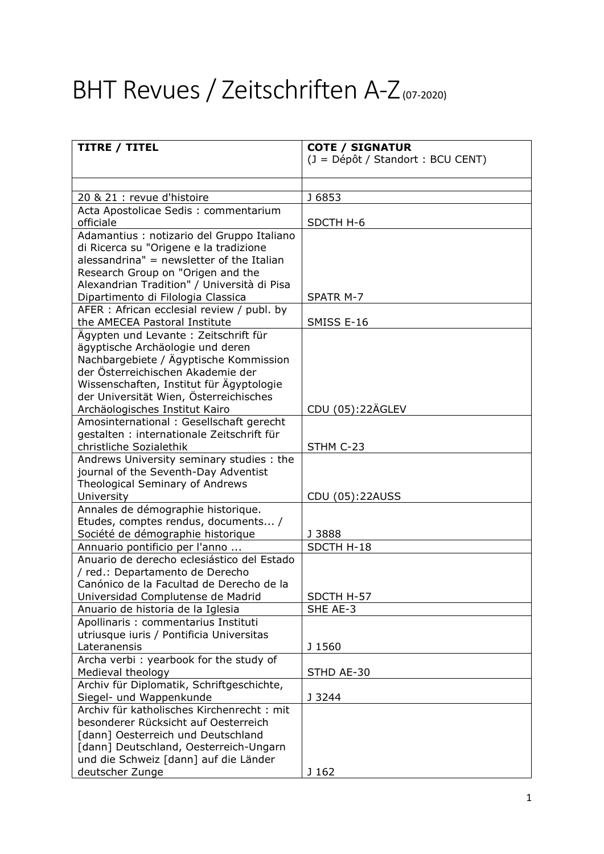## BHT Revues / Zeitschriften A-Z(07-2020)

| <b>TITRE / TITEL</b>                                                          | <b>COTE / SIGNATUR</b>            |
|-------------------------------------------------------------------------------|-----------------------------------|
|                                                                               | (J = Dépôt / Standort : BCU CENT) |
|                                                                               |                                   |
|                                                                               |                                   |
| 20 & 21 : revue d'histoire                                                    | J 6853                            |
| Acta Apostolicae Sedis: commentarium<br>officiale                             | SDCTH H-6                         |
| Adamantius : notizario del Gruppo Italiano                                    |                                   |
| di Ricerca su "Origene e la tradizione                                        |                                   |
| alessandrina" = newsletter of the Italian                                     |                                   |
| Research Group on "Origen and the                                             |                                   |
| Alexandrian Tradition" / Università di Pisa                                   |                                   |
| Dipartimento di Filologia Classica                                            | SPATR M-7                         |
| AFER : African ecclesial review / publ. by                                    |                                   |
| the AMECEA Pastoral Institute                                                 | SMISS E-16                        |
| Ägypten und Levante: Zeitschrift für                                          |                                   |
| ägyptische Archäologie und deren                                              |                                   |
| Nachbargebiete / Ägyptische Kommission                                        |                                   |
| der Österreichischen Akademie der                                             |                                   |
| Wissenschaften, Institut für Ägyptologie                                      |                                   |
| der Universität Wien, Österreichisches                                        |                                   |
| Archäologisches Institut Kairo<br>Amosinternational: Gesellschaft gerecht     | CDU (05):22ÄGLEV                  |
| gestalten : internationale Zeitschrift für                                    |                                   |
| christliche Sozialethik                                                       | STHM C-23                         |
| Andrews University seminary studies : the                                     |                                   |
| journal of the Seventh-Day Adventist                                          |                                   |
| Theological Seminary of Andrews                                               |                                   |
| University                                                                    | CDU (05):22AUSS                   |
| Annales de démographie historique.                                            |                                   |
| Etudes, comptes rendus, documents /                                           |                                   |
| Société de démographie historique                                             | J 3888                            |
| Annuario pontificio per l'anno                                                | SDCTH H-18                        |
| Anuario de derecho eclesiástico del Estado                                    |                                   |
| / red.: Departamento de Derecho                                               |                                   |
| Canónico de la Facultad de Derecho de la<br>Universidad Complutense de Madrid | SDCTH H-57                        |
| Anuario de historia de la Iglesia                                             | SHE AE-3                          |
| Apollinaris : commentarius Instituti                                          |                                   |
| utriusque iuris / Pontificia Universitas                                      |                                   |
| Lateranensis                                                                  | J 1560                            |
| Archa verbi: yearbook for the study of                                        |                                   |
| Medieval theology                                                             | STHD AE-30                        |
| Archiv für Diplomatik, Schriftgeschichte,                                     |                                   |
| Siegel- und Wappenkunde                                                       | J 3244                            |
| Archiv für katholisches Kirchenrecht: mit                                     |                                   |
| besonderer Rücksicht auf Oesterreich                                          |                                   |
| [dann] Oesterreich und Deutschland                                            |                                   |
| [dann] Deutschland, Oesterreich-Ungarn                                        |                                   |
| und die Schweiz [dann] auf die Länder                                         |                                   |
| deutscher Zunge                                                               | J 162                             |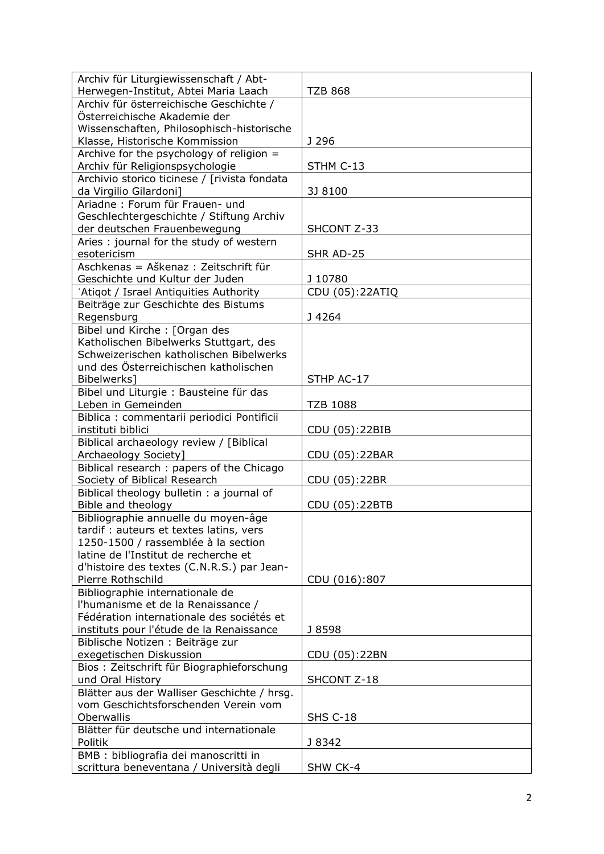| Archiv für Liturgiewissenschaft / Abt-       |                 |
|----------------------------------------------|-----------------|
| Herwegen-Institut, Abtei Maria Laach         | <b>TZB 868</b>  |
| Archiv für österreichische Geschichte /      |                 |
| Österreichische Akademie der                 |                 |
| Wissenschaften, Philosophisch-historische    |                 |
| Klasse, Historische Kommission               | J 296           |
| Archive for the psychology of religion $=$   |                 |
| Archiv für Religionspsychologie              | STHM C-13       |
| Archivio storico ticinese / [rivista fondata |                 |
| da Virgilio Gilardoni]                       | 3J 8100         |
| Ariadne: Forum für Frauen- und               |                 |
| Geschlechtergeschichte / Stiftung Archiv     |                 |
| der deutschen Frauenbewegung                 | SHCONT Z-33     |
| Aries: journal for the study of western      |                 |
| esotericism                                  | SHR AD-25       |
| Aschkenas = Aškenaz : Zeitschrift für        |                 |
| Geschichte und Kultur der Juden              | J 10780         |
| 'Atiqot / Israel Antiquities Authority       | CDU (05):22ATIQ |
| Beiträge zur Geschichte des Bistums          |                 |
| Regensburg                                   | J4264           |
| Bibel und Kirche: [Organ des                 |                 |
| Katholischen Bibelwerks Stuttgart, des       |                 |
| Schweizerischen katholischen Bibelwerks      |                 |
| und des Österreichischen katholischen        |                 |
| Bibelwerks]                                  | STHP AC-17      |
| Bibel und Liturgie : Bausteine für das       |                 |
| Leben in Gemeinden                           | <b>TZB 1088</b> |
| Biblica : commentarii periodici Pontificii   |                 |
| instituti biblici                            | CDU (05):22BIB  |
| Biblical archaeology review / [Biblical      |                 |
| Archaeology Society]                         | CDU (05):22BAR  |
| Biblical research: papers of the Chicago     |                 |
| Society of Biblical Research                 | CDU (05):22BR   |
| Biblical theology bulletin : a journal of    |                 |
| Bible and theology                           | CDU (05):22BTB  |
| Bibliographie annuelle du moyen-âge          |                 |
| tardif : auteurs et textes latins, vers      |                 |
| 1250-1500 / rassemblée à la section          |                 |
| latine de l'Institut de recherche et         |                 |
| d'histoire des textes (C.N.R.S.) par Jean-   |                 |
| Pierre Rothschild                            | CDU (016):807   |
| Bibliographie internationale de              |                 |
| l'humanisme et de la Renaissance /           |                 |
| Fédération internationale des sociétés et    |                 |
| instituts pour l'étude de la Renaissance     | J 8598          |
| Biblische Notizen : Beiträge zur             |                 |
| exegetischen Diskussion                      | CDU (05):22BN   |
| Bios: Zeitschrift für Biographieforschung    |                 |
| und Oral History                             | SHCONT Z-18     |
| Blätter aus der Walliser Geschichte / hrsg.  |                 |
| vom Geschichtsforschenden Verein vom         |                 |
| Oberwallis                                   | <b>SHS C-18</b> |
| Blätter für deutsche und internationale      |                 |
| Politik                                      | J 8342          |
| BMB : bibliografia dei manoscritti in        |                 |
| scrittura beneventana / Università degli     | SHW CK-4        |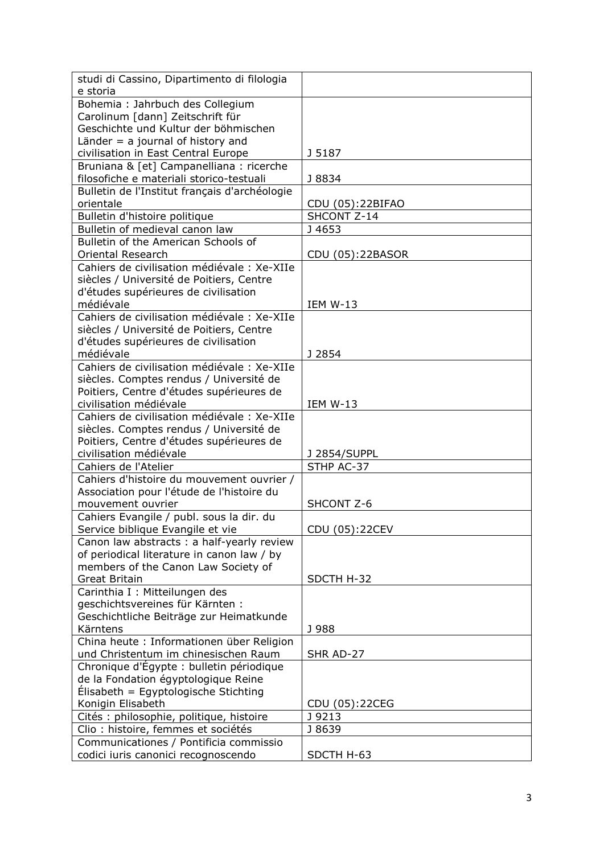| studi di Cassino, Dipartimento di filologia                                    |                  |
|--------------------------------------------------------------------------------|------------------|
| e storia                                                                       |                  |
| Bohemia: Jahrbuch des Collegium                                                |                  |
| Carolinum [dann] Zeitschrift für                                               |                  |
| Geschichte und Kultur der böhmischen                                           |                  |
| Länder $=$ a journal of history and                                            |                  |
| civilisation in East Central Europe                                            | J 5187           |
| Bruniana & [et] Campanelliana : ricerche                                       |                  |
| filosofiche e materiali storico-testuali                                       | J 8834           |
| Bulletin de l'Institut français d'archéologie                                  |                  |
| orientale                                                                      | CDU (05):22BIFAO |
| Bulletin d'histoire politique                                                  | SHCONT Z-14      |
| Bulletin of medieval canon law                                                 | J 4653           |
| Bulletin of the American Schools of                                            |                  |
| <b>Oriental Research</b>                                                       | CDU (05):22BASOR |
| Cahiers de civilisation médiévale : Xe-XIIe                                    |                  |
| siècles / Université de Poitiers, Centre                                       |                  |
| d'études supérieures de civilisation                                           |                  |
| médiévale                                                                      | <b>IEM W-13</b>  |
| Cahiers de civilisation médiévale : Xe-XIIe                                    |                  |
| siècles / Université de Poitiers, Centre                                       |                  |
| d'études supérieures de civilisation                                           |                  |
| médiévale                                                                      | J 2854           |
| Cahiers de civilisation médiévale : Xe-XIIe                                    |                  |
| siècles. Comptes rendus / Université de                                        |                  |
| Poitiers, Centre d'études supérieures de                                       |                  |
| civilisation médiévale                                                         | <b>IEM W-13</b>  |
| Cahiers de civilisation médiévale : Xe-XIIe                                    |                  |
| siècles. Comptes rendus / Université de                                        |                  |
| Poitiers, Centre d'études supérieures de                                       |                  |
| civilisation médiévale                                                         | J 2854/SUPPL     |
| Cahiers de l'Atelier                                                           | STHP AC-37       |
| Cahiers d'histoire du mouvement ouvrier /                                      |                  |
| Association pour l'étude de l'histoire du                                      |                  |
| mouvement ouvrier                                                              | SHCONT Z-6       |
| Cahiers Evangile / publ. sous la dir. du                                       |                  |
| Service biblique Evangile et vie<br>Canon law abstracts : a half-yearly review | CDU (05):22CEV   |
| of periodical literature in canon law / by                                     |                  |
| members of the Canon Law Society of                                            |                  |
| <b>Great Britain</b>                                                           | SDCTH H-32       |
| Carinthia I : Mitteilungen des                                                 |                  |
| geschichtsvereines für Kärnten:                                                |                  |
| Geschichtliche Beiträge zur Heimatkunde                                        |                  |
| Kärntens                                                                       | J 988            |
| China heute : Informationen über Religion                                      |                  |
| und Christentum im chinesischen Raum                                           | SHR AD-27        |
| Chronique d'Égypte : bulletin périodique                                       |                  |
| de la Fondation égyptologique Reine                                            |                  |
| Élisabeth = Egyptologische Stichting                                           |                  |
| Konigin Elisabeth                                                              | CDU (05):22CEG   |
| Cités : philosophie, politique, histoire                                       | J 9213           |
| Clio: histoire, femmes et sociétés                                             | J 8639           |
| Communicationes / Pontificia commissio                                         |                  |
| codici iuris canonici recognoscendo                                            | SDCTH H-63       |
|                                                                                |                  |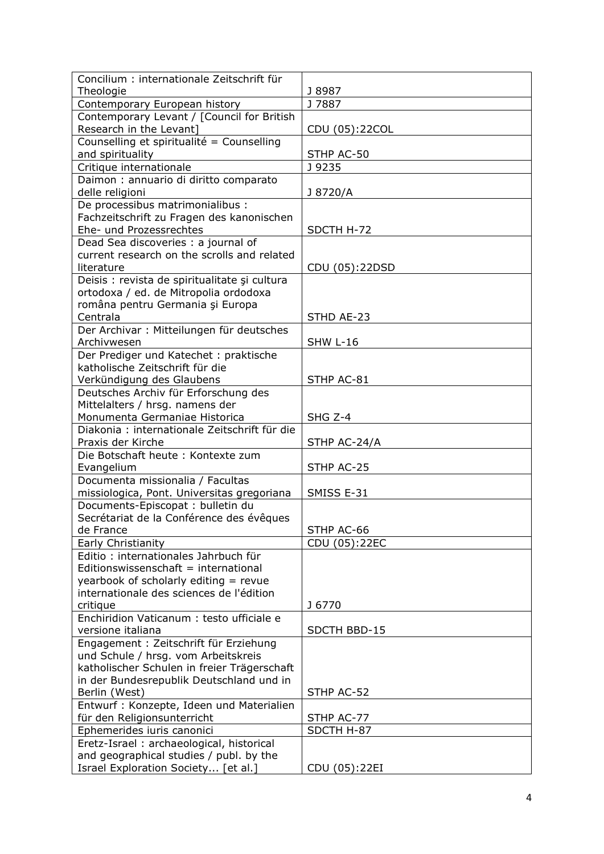| J 8987<br>Theologie<br>Contemporary European history<br>J 7887<br>Contemporary Levant / [Council for British<br>Research in the Levant]<br>CDU (05):22COL<br>Counselling et spiritualité = Counselling<br>and spirituality<br>STHP AC-50<br>J 9235<br>Critique internationale<br>Daimon : annuario di diritto comparato<br>delle religioni<br>J 8720/A<br>De processibus matrimonialibus :<br>Fachzeitschrift zu Fragen des kanonischen<br>Ehe- und Prozessrechtes<br>SDCTH H-72<br>Dead Sea discoveries : a journal of<br>current research on the scrolls and related<br>literature<br>CDU (05):22DSD<br>Deisis : revista de spiritualitate și cultura<br>ortodoxa / ed. de Mitropolia ordodoxa<br>româna pentru Germania și Europa<br>Centrala<br>STHD AE-23<br>Der Archivar: Mitteilungen für deutsches<br>Archivwesen<br><b>SHW L-16</b><br>Der Prediger und Katechet: praktische<br>katholische Zeitschrift für die<br>STHP AC-81<br>Verkündigung des Glaubens<br>Deutsches Archiv für Erforschung des<br>Mittelalters / hrsg. namens der<br>Monumenta Germaniae Historica<br>SHG Z-4<br>Diakonia : internationale Zeitschrift für die<br>Praxis der Kirche<br>STHP AC-24/A<br>Die Botschaft heute : Kontexte zum<br>Evangelium<br>STHP AC-25<br>Documenta missionalia / Facultas<br>missiologica, Pont. Universitas gregoriana<br>SMISS E-31<br>Documents-Episcopat : bulletin du<br>Secrétariat de la Conférence des évêques<br>STHP AC-66<br>de France<br>CDU (05):22EC<br>Early Christianity<br>Editio: internationales Jahrbuch für<br>Editionswissenschaft = international<br>yearbook of scholarly editing = revue<br>internationale des sciences de l'édition<br>critique<br>J 6770<br>Enchiridion Vaticanum : testo ufficiale e<br>versione italiana<br>SDCTH BBD-15<br>Engagement : Zeitschrift für Erziehung<br>und Schule / hrsg. vom Arbeitskreis<br>katholischer Schulen in freier Trägerschaft<br>in der Bundesrepublik Deutschland und in<br>Berlin (West)<br>STHP AC-52<br>Entwurf: Konzepte, Ideen und Materialien<br>für den Religionsunterricht<br>STHP AC-77<br>Ephemerides iuris canonici<br>SDCTH H-87<br>Eretz-Israel: archaeological, historical<br>and geographical studies / publ. by the | Concilium : internationale Zeitschrift für |  |
|---------------------------------------------------------------------------------------------------------------------------------------------------------------------------------------------------------------------------------------------------------------------------------------------------------------------------------------------------------------------------------------------------------------------------------------------------------------------------------------------------------------------------------------------------------------------------------------------------------------------------------------------------------------------------------------------------------------------------------------------------------------------------------------------------------------------------------------------------------------------------------------------------------------------------------------------------------------------------------------------------------------------------------------------------------------------------------------------------------------------------------------------------------------------------------------------------------------------------------------------------------------------------------------------------------------------------------------------------------------------------------------------------------------------------------------------------------------------------------------------------------------------------------------------------------------------------------------------------------------------------------------------------------------------------------------------------------------------------------------------------------------------------------------------------------------------------------------------------------------------------------------------------------------------------------------------------------------------------------------------------------------------------------------------------------------------------------------------------------------------------------------------------------------------------------------------------------------------------|--------------------------------------------|--|
|                                                                                                                                                                                                                                                                                                                                                                                                                                                                                                                                                                                                                                                                                                                                                                                                                                                                                                                                                                                                                                                                                                                                                                                                                                                                                                                                                                                                                                                                                                                                                                                                                                                                                                                                                                                                                                                                                                                                                                                                                                                                                                                                                                                                                           |                                            |  |
|                                                                                                                                                                                                                                                                                                                                                                                                                                                                                                                                                                                                                                                                                                                                                                                                                                                                                                                                                                                                                                                                                                                                                                                                                                                                                                                                                                                                                                                                                                                                                                                                                                                                                                                                                                                                                                                                                                                                                                                                                                                                                                                                                                                                                           |                                            |  |
|                                                                                                                                                                                                                                                                                                                                                                                                                                                                                                                                                                                                                                                                                                                                                                                                                                                                                                                                                                                                                                                                                                                                                                                                                                                                                                                                                                                                                                                                                                                                                                                                                                                                                                                                                                                                                                                                                                                                                                                                                                                                                                                                                                                                                           |                                            |  |
|                                                                                                                                                                                                                                                                                                                                                                                                                                                                                                                                                                                                                                                                                                                                                                                                                                                                                                                                                                                                                                                                                                                                                                                                                                                                                                                                                                                                                                                                                                                                                                                                                                                                                                                                                                                                                                                                                                                                                                                                                                                                                                                                                                                                                           |                                            |  |
|                                                                                                                                                                                                                                                                                                                                                                                                                                                                                                                                                                                                                                                                                                                                                                                                                                                                                                                                                                                                                                                                                                                                                                                                                                                                                                                                                                                                                                                                                                                                                                                                                                                                                                                                                                                                                                                                                                                                                                                                                                                                                                                                                                                                                           |                                            |  |
|                                                                                                                                                                                                                                                                                                                                                                                                                                                                                                                                                                                                                                                                                                                                                                                                                                                                                                                                                                                                                                                                                                                                                                                                                                                                                                                                                                                                                                                                                                                                                                                                                                                                                                                                                                                                                                                                                                                                                                                                                                                                                                                                                                                                                           |                                            |  |
|                                                                                                                                                                                                                                                                                                                                                                                                                                                                                                                                                                                                                                                                                                                                                                                                                                                                                                                                                                                                                                                                                                                                                                                                                                                                                                                                                                                                                                                                                                                                                                                                                                                                                                                                                                                                                                                                                                                                                                                                                                                                                                                                                                                                                           |                                            |  |
|                                                                                                                                                                                                                                                                                                                                                                                                                                                                                                                                                                                                                                                                                                                                                                                                                                                                                                                                                                                                                                                                                                                                                                                                                                                                                                                                                                                                                                                                                                                                                                                                                                                                                                                                                                                                                                                                                                                                                                                                                                                                                                                                                                                                                           |                                            |  |
|                                                                                                                                                                                                                                                                                                                                                                                                                                                                                                                                                                                                                                                                                                                                                                                                                                                                                                                                                                                                                                                                                                                                                                                                                                                                                                                                                                                                                                                                                                                                                                                                                                                                                                                                                                                                                                                                                                                                                                                                                                                                                                                                                                                                                           |                                            |  |
|                                                                                                                                                                                                                                                                                                                                                                                                                                                                                                                                                                                                                                                                                                                                                                                                                                                                                                                                                                                                                                                                                                                                                                                                                                                                                                                                                                                                                                                                                                                                                                                                                                                                                                                                                                                                                                                                                                                                                                                                                                                                                                                                                                                                                           |                                            |  |
|                                                                                                                                                                                                                                                                                                                                                                                                                                                                                                                                                                                                                                                                                                                                                                                                                                                                                                                                                                                                                                                                                                                                                                                                                                                                                                                                                                                                                                                                                                                                                                                                                                                                                                                                                                                                                                                                                                                                                                                                                                                                                                                                                                                                                           |                                            |  |
|                                                                                                                                                                                                                                                                                                                                                                                                                                                                                                                                                                                                                                                                                                                                                                                                                                                                                                                                                                                                                                                                                                                                                                                                                                                                                                                                                                                                                                                                                                                                                                                                                                                                                                                                                                                                                                                                                                                                                                                                                                                                                                                                                                                                                           |                                            |  |
|                                                                                                                                                                                                                                                                                                                                                                                                                                                                                                                                                                                                                                                                                                                                                                                                                                                                                                                                                                                                                                                                                                                                                                                                                                                                                                                                                                                                                                                                                                                                                                                                                                                                                                                                                                                                                                                                                                                                                                                                                                                                                                                                                                                                                           |                                            |  |
|                                                                                                                                                                                                                                                                                                                                                                                                                                                                                                                                                                                                                                                                                                                                                                                                                                                                                                                                                                                                                                                                                                                                                                                                                                                                                                                                                                                                                                                                                                                                                                                                                                                                                                                                                                                                                                                                                                                                                                                                                                                                                                                                                                                                                           |                                            |  |
|                                                                                                                                                                                                                                                                                                                                                                                                                                                                                                                                                                                                                                                                                                                                                                                                                                                                                                                                                                                                                                                                                                                                                                                                                                                                                                                                                                                                                                                                                                                                                                                                                                                                                                                                                                                                                                                                                                                                                                                                                                                                                                                                                                                                                           |                                            |  |
|                                                                                                                                                                                                                                                                                                                                                                                                                                                                                                                                                                                                                                                                                                                                                                                                                                                                                                                                                                                                                                                                                                                                                                                                                                                                                                                                                                                                                                                                                                                                                                                                                                                                                                                                                                                                                                                                                                                                                                                                                                                                                                                                                                                                                           |                                            |  |
|                                                                                                                                                                                                                                                                                                                                                                                                                                                                                                                                                                                                                                                                                                                                                                                                                                                                                                                                                                                                                                                                                                                                                                                                                                                                                                                                                                                                                                                                                                                                                                                                                                                                                                                                                                                                                                                                                                                                                                                                                                                                                                                                                                                                                           |                                            |  |
|                                                                                                                                                                                                                                                                                                                                                                                                                                                                                                                                                                                                                                                                                                                                                                                                                                                                                                                                                                                                                                                                                                                                                                                                                                                                                                                                                                                                                                                                                                                                                                                                                                                                                                                                                                                                                                                                                                                                                                                                                                                                                                                                                                                                                           |                                            |  |
|                                                                                                                                                                                                                                                                                                                                                                                                                                                                                                                                                                                                                                                                                                                                                                                                                                                                                                                                                                                                                                                                                                                                                                                                                                                                                                                                                                                                                                                                                                                                                                                                                                                                                                                                                                                                                                                                                                                                                                                                                                                                                                                                                                                                                           |                                            |  |
|                                                                                                                                                                                                                                                                                                                                                                                                                                                                                                                                                                                                                                                                                                                                                                                                                                                                                                                                                                                                                                                                                                                                                                                                                                                                                                                                                                                                                                                                                                                                                                                                                                                                                                                                                                                                                                                                                                                                                                                                                                                                                                                                                                                                                           |                                            |  |
|                                                                                                                                                                                                                                                                                                                                                                                                                                                                                                                                                                                                                                                                                                                                                                                                                                                                                                                                                                                                                                                                                                                                                                                                                                                                                                                                                                                                                                                                                                                                                                                                                                                                                                                                                                                                                                                                                                                                                                                                                                                                                                                                                                                                                           |                                            |  |
|                                                                                                                                                                                                                                                                                                                                                                                                                                                                                                                                                                                                                                                                                                                                                                                                                                                                                                                                                                                                                                                                                                                                                                                                                                                                                                                                                                                                                                                                                                                                                                                                                                                                                                                                                                                                                                                                                                                                                                                                                                                                                                                                                                                                                           |                                            |  |
|                                                                                                                                                                                                                                                                                                                                                                                                                                                                                                                                                                                                                                                                                                                                                                                                                                                                                                                                                                                                                                                                                                                                                                                                                                                                                                                                                                                                                                                                                                                                                                                                                                                                                                                                                                                                                                                                                                                                                                                                                                                                                                                                                                                                                           |                                            |  |
|                                                                                                                                                                                                                                                                                                                                                                                                                                                                                                                                                                                                                                                                                                                                                                                                                                                                                                                                                                                                                                                                                                                                                                                                                                                                                                                                                                                                                                                                                                                                                                                                                                                                                                                                                                                                                                                                                                                                                                                                                                                                                                                                                                                                                           |                                            |  |
|                                                                                                                                                                                                                                                                                                                                                                                                                                                                                                                                                                                                                                                                                                                                                                                                                                                                                                                                                                                                                                                                                                                                                                                                                                                                                                                                                                                                                                                                                                                                                                                                                                                                                                                                                                                                                                                                                                                                                                                                                                                                                                                                                                                                                           |                                            |  |
|                                                                                                                                                                                                                                                                                                                                                                                                                                                                                                                                                                                                                                                                                                                                                                                                                                                                                                                                                                                                                                                                                                                                                                                                                                                                                                                                                                                                                                                                                                                                                                                                                                                                                                                                                                                                                                                                                                                                                                                                                                                                                                                                                                                                                           |                                            |  |
|                                                                                                                                                                                                                                                                                                                                                                                                                                                                                                                                                                                                                                                                                                                                                                                                                                                                                                                                                                                                                                                                                                                                                                                                                                                                                                                                                                                                                                                                                                                                                                                                                                                                                                                                                                                                                                                                                                                                                                                                                                                                                                                                                                                                                           |                                            |  |
|                                                                                                                                                                                                                                                                                                                                                                                                                                                                                                                                                                                                                                                                                                                                                                                                                                                                                                                                                                                                                                                                                                                                                                                                                                                                                                                                                                                                                                                                                                                                                                                                                                                                                                                                                                                                                                                                                                                                                                                                                                                                                                                                                                                                                           |                                            |  |
|                                                                                                                                                                                                                                                                                                                                                                                                                                                                                                                                                                                                                                                                                                                                                                                                                                                                                                                                                                                                                                                                                                                                                                                                                                                                                                                                                                                                                                                                                                                                                                                                                                                                                                                                                                                                                                                                                                                                                                                                                                                                                                                                                                                                                           |                                            |  |
|                                                                                                                                                                                                                                                                                                                                                                                                                                                                                                                                                                                                                                                                                                                                                                                                                                                                                                                                                                                                                                                                                                                                                                                                                                                                                                                                                                                                                                                                                                                                                                                                                                                                                                                                                                                                                                                                                                                                                                                                                                                                                                                                                                                                                           |                                            |  |
|                                                                                                                                                                                                                                                                                                                                                                                                                                                                                                                                                                                                                                                                                                                                                                                                                                                                                                                                                                                                                                                                                                                                                                                                                                                                                                                                                                                                                                                                                                                                                                                                                                                                                                                                                                                                                                                                                                                                                                                                                                                                                                                                                                                                                           |                                            |  |
|                                                                                                                                                                                                                                                                                                                                                                                                                                                                                                                                                                                                                                                                                                                                                                                                                                                                                                                                                                                                                                                                                                                                                                                                                                                                                                                                                                                                                                                                                                                                                                                                                                                                                                                                                                                                                                                                                                                                                                                                                                                                                                                                                                                                                           |                                            |  |
|                                                                                                                                                                                                                                                                                                                                                                                                                                                                                                                                                                                                                                                                                                                                                                                                                                                                                                                                                                                                                                                                                                                                                                                                                                                                                                                                                                                                                                                                                                                                                                                                                                                                                                                                                                                                                                                                                                                                                                                                                                                                                                                                                                                                                           |                                            |  |
|                                                                                                                                                                                                                                                                                                                                                                                                                                                                                                                                                                                                                                                                                                                                                                                                                                                                                                                                                                                                                                                                                                                                                                                                                                                                                                                                                                                                                                                                                                                                                                                                                                                                                                                                                                                                                                                                                                                                                                                                                                                                                                                                                                                                                           |                                            |  |
|                                                                                                                                                                                                                                                                                                                                                                                                                                                                                                                                                                                                                                                                                                                                                                                                                                                                                                                                                                                                                                                                                                                                                                                                                                                                                                                                                                                                                                                                                                                                                                                                                                                                                                                                                                                                                                                                                                                                                                                                                                                                                                                                                                                                                           |                                            |  |
|                                                                                                                                                                                                                                                                                                                                                                                                                                                                                                                                                                                                                                                                                                                                                                                                                                                                                                                                                                                                                                                                                                                                                                                                                                                                                                                                                                                                                                                                                                                                                                                                                                                                                                                                                                                                                                                                                                                                                                                                                                                                                                                                                                                                                           |                                            |  |
|                                                                                                                                                                                                                                                                                                                                                                                                                                                                                                                                                                                                                                                                                                                                                                                                                                                                                                                                                                                                                                                                                                                                                                                                                                                                                                                                                                                                                                                                                                                                                                                                                                                                                                                                                                                                                                                                                                                                                                                                                                                                                                                                                                                                                           |                                            |  |
|                                                                                                                                                                                                                                                                                                                                                                                                                                                                                                                                                                                                                                                                                                                                                                                                                                                                                                                                                                                                                                                                                                                                                                                                                                                                                                                                                                                                                                                                                                                                                                                                                                                                                                                                                                                                                                                                                                                                                                                                                                                                                                                                                                                                                           |                                            |  |
|                                                                                                                                                                                                                                                                                                                                                                                                                                                                                                                                                                                                                                                                                                                                                                                                                                                                                                                                                                                                                                                                                                                                                                                                                                                                                                                                                                                                                                                                                                                                                                                                                                                                                                                                                                                                                                                                                                                                                                                                                                                                                                                                                                                                                           |                                            |  |
|                                                                                                                                                                                                                                                                                                                                                                                                                                                                                                                                                                                                                                                                                                                                                                                                                                                                                                                                                                                                                                                                                                                                                                                                                                                                                                                                                                                                                                                                                                                                                                                                                                                                                                                                                                                                                                                                                                                                                                                                                                                                                                                                                                                                                           |                                            |  |
|                                                                                                                                                                                                                                                                                                                                                                                                                                                                                                                                                                                                                                                                                                                                                                                                                                                                                                                                                                                                                                                                                                                                                                                                                                                                                                                                                                                                                                                                                                                                                                                                                                                                                                                                                                                                                                                                                                                                                                                                                                                                                                                                                                                                                           |                                            |  |
|                                                                                                                                                                                                                                                                                                                                                                                                                                                                                                                                                                                                                                                                                                                                                                                                                                                                                                                                                                                                                                                                                                                                                                                                                                                                                                                                                                                                                                                                                                                                                                                                                                                                                                                                                                                                                                                                                                                                                                                                                                                                                                                                                                                                                           |                                            |  |
|                                                                                                                                                                                                                                                                                                                                                                                                                                                                                                                                                                                                                                                                                                                                                                                                                                                                                                                                                                                                                                                                                                                                                                                                                                                                                                                                                                                                                                                                                                                                                                                                                                                                                                                                                                                                                                                                                                                                                                                                                                                                                                                                                                                                                           |                                            |  |
|                                                                                                                                                                                                                                                                                                                                                                                                                                                                                                                                                                                                                                                                                                                                                                                                                                                                                                                                                                                                                                                                                                                                                                                                                                                                                                                                                                                                                                                                                                                                                                                                                                                                                                                                                                                                                                                                                                                                                                                                                                                                                                                                                                                                                           |                                            |  |
|                                                                                                                                                                                                                                                                                                                                                                                                                                                                                                                                                                                                                                                                                                                                                                                                                                                                                                                                                                                                                                                                                                                                                                                                                                                                                                                                                                                                                                                                                                                                                                                                                                                                                                                                                                                                                                                                                                                                                                                                                                                                                                                                                                                                                           |                                            |  |
|                                                                                                                                                                                                                                                                                                                                                                                                                                                                                                                                                                                                                                                                                                                                                                                                                                                                                                                                                                                                                                                                                                                                                                                                                                                                                                                                                                                                                                                                                                                                                                                                                                                                                                                                                                                                                                                                                                                                                                                                                                                                                                                                                                                                                           |                                            |  |
|                                                                                                                                                                                                                                                                                                                                                                                                                                                                                                                                                                                                                                                                                                                                                                                                                                                                                                                                                                                                                                                                                                                                                                                                                                                                                                                                                                                                                                                                                                                                                                                                                                                                                                                                                                                                                                                                                                                                                                                                                                                                                                                                                                                                                           |                                            |  |
|                                                                                                                                                                                                                                                                                                                                                                                                                                                                                                                                                                                                                                                                                                                                                                                                                                                                                                                                                                                                                                                                                                                                                                                                                                                                                                                                                                                                                                                                                                                                                                                                                                                                                                                                                                                                                                                                                                                                                                                                                                                                                                                                                                                                                           |                                            |  |
|                                                                                                                                                                                                                                                                                                                                                                                                                                                                                                                                                                                                                                                                                                                                                                                                                                                                                                                                                                                                                                                                                                                                                                                                                                                                                                                                                                                                                                                                                                                                                                                                                                                                                                                                                                                                                                                                                                                                                                                                                                                                                                                                                                                                                           |                                            |  |
|                                                                                                                                                                                                                                                                                                                                                                                                                                                                                                                                                                                                                                                                                                                                                                                                                                                                                                                                                                                                                                                                                                                                                                                                                                                                                                                                                                                                                                                                                                                                                                                                                                                                                                                                                                                                                                                                                                                                                                                                                                                                                                                                                                                                                           |                                            |  |
|                                                                                                                                                                                                                                                                                                                                                                                                                                                                                                                                                                                                                                                                                                                                                                                                                                                                                                                                                                                                                                                                                                                                                                                                                                                                                                                                                                                                                                                                                                                                                                                                                                                                                                                                                                                                                                                                                                                                                                                                                                                                                                                                                                                                                           |                                            |  |
|                                                                                                                                                                                                                                                                                                                                                                                                                                                                                                                                                                                                                                                                                                                                                                                                                                                                                                                                                                                                                                                                                                                                                                                                                                                                                                                                                                                                                                                                                                                                                                                                                                                                                                                                                                                                                                                                                                                                                                                                                                                                                                                                                                                                                           |                                            |  |
|                                                                                                                                                                                                                                                                                                                                                                                                                                                                                                                                                                                                                                                                                                                                                                                                                                                                                                                                                                                                                                                                                                                                                                                                                                                                                                                                                                                                                                                                                                                                                                                                                                                                                                                                                                                                                                                                                                                                                                                                                                                                                                                                                                                                                           |                                            |  |
| Israel Exploration Society [et al.]<br>CDU (05):22EI                                                                                                                                                                                                                                                                                                                                                                                                                                                                                                                                                                                                                                                                                                                                                                                                                                                                                                                                                                                                                                                                                                                                                                                                                                                                                                                                                                                                                                                                                                                                                                                                                                                                                                                                                                                                                                                                                                                                                                                                                                                                                                                                                                      |                                            |  |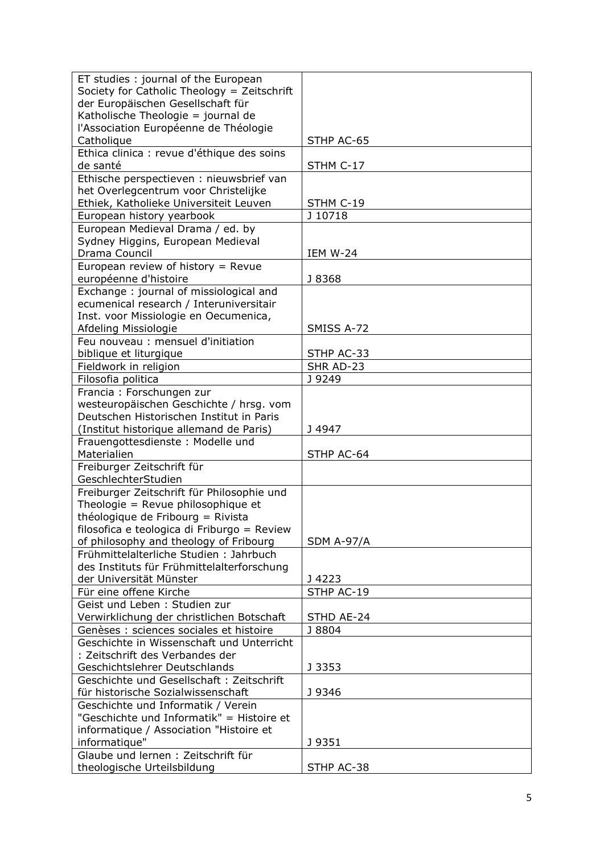| ET studies: journal of the European         |                   |
|---------------------------------------------|-------------------|
| Society for Catholic Theology = Zeitschrift |                   |
| der Europäischen Gesellschaft für           |                   |
| Katholische Theologie = journal de          |                   |
| l'Association Européenne de Théologie       |                   |
| Catholique                                  | STHP AC-65        |
| Ethica clinica : revue d'éthique des soins  |                   |
| de santé                                    | STHM C-17         |
| Ethische perspectieven : nieuwsbrief van    |                   |
| het Overlegcentrum voor Christelijke        |                   |
| Ethiek, Katholieke Universiteit Leuven      | STHM C-19         |
| European history yearbook                   | J 10718           |
| European Medieval Drama / ed. by            |                   |
| Sydney Higgins, European Medieval           |                   |
| Drama Council                               | <b>IEM W-24</b>   |
| European review of history = $R$ evue       |                   |
| européenne d'histoire                       | J 8368            |
| Exchange: journal of missiological and      |                   |
| ecumenical research / Interuniversitair     |                   |
| Inst. voor Missiologie en Oecumenica,       |                   |
| Afdeling Missiologie                        | SMISS A-72        |
| Feu nouveau : mensuel d'initiation          |                   |
| biblique et liturgique                      | STHP AC-33        |
| Fieldwork in religion                       | SHR AD-23         |
| Filosofia politica                          | J 9249            |
| Francia: Forschungen zur                    |                   |
| westeuropäischen Geschichte / hrsg. vom     |                   |
| Deutschen Historischen Institut in Paris    |                   |
| (Institut historique allemand de Paris)     | J 4947            |
| Frauengottesdienste: Modelle und            |                   |
| Materialien                                 | STHP AC-64        |
| Freiburger Zeitschrift für                  |                   |
| GeschlechterStudien                         |                   |
| Freiburger Zeitschrift für Philosophie und  |                   |
| Theologie = Revue philosophique et          |                   |
| théologique de Fribourg = Rivista           |                   |
| filosofica e teologica di Friburgo = Review |                   |
| of philosophy and theology of Fribourg      | <b>SDM A-97/A</b> |
| Frühmittelalterliche Studien: Jahrbuch      |                   |
| des Instituts für Frühmittelalterforschung  |                   |
| der Universität Münster                     | J 4223            |
| Für eine offene Kirche                      | STHP AC-19        |
| Geist und Leben: Studien zur                |                   |
| Verwirklichung der christlichen Botschaft   | STHD AE-24        |
| Genèses : sciences sociales et histoire     | J 8804            |
| Geschichte in Wissenschaft und Unterricht   |                   |
| : Zeitschrift des Verbandes der             |                   |
| Geschichtslehrer Deutschlands               | J 3353            |
| Geschichte und Gesellschaft: Zeitschrift    |                   |
| für historische Sozialwissenschaft          | J 9346            |
| Geschichte und Informatik / Verein          |                   |
| "Geschichte und Informatik" = Histoire et   |                   |
| informatique / Association "Histoire et     |                   |
| informatique"                               | J 9351            |
| Glaube und lernen: Zeitschrift für          |                   |
| theologische Urteilsbildung                 | STHP AC-38        |
|                                             |                   |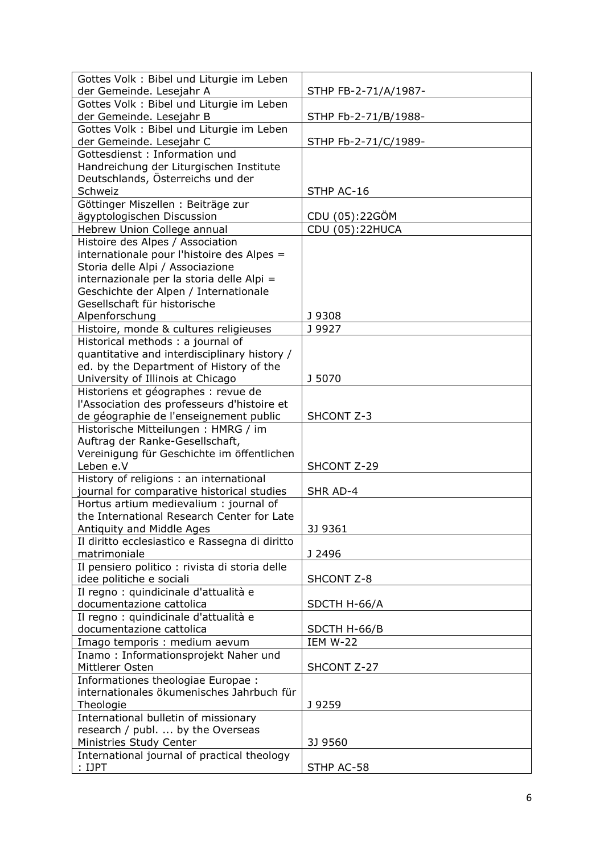| Gottes Volk : Bibel und Liturgie im Leben                      |                      |
|----------------------------------------------------------------|----------------------|
| der Gemeinde. Lesejahr A                                       | STHP FB-2-71/A/1987- |
| Gottes Volk: Bibel und Liturgie im Leben                       |                      |
| der Gemeinde. Lesejahr B                                       | STHP Fb-2-71/B/1988- |
| Gottes Volk: Bibel und Liturgie im Leben                       |                      |
| der Gemeinde. Lesejahr C                                       | STHP Fb-2-71/C/1989- |
| Gottesdienst: Information und                                  |                      |
| Handreichung der Liturgischen Institute                        |                      |
| Deutschlands, Österreichs und der                              |                      |
| Schweiz                                                        | STHP AC-16           |
| Göttinger Miszellen : Beiträge zur                             |                      |
| ägyptologischen Discussion                                     | CDU (05):22GÖM       |
| Hebrew Union College annual                                    | CDU (05):22HUCA      |
| Histoire des Alpes / Association                               |                      |
| internationale pour l'histoire des Alpes =                     |                      |
| Storia delle Alpi / Associazione                               |                      |
| internazionale per la storia delle Alpi =                      |                      |
| Geschichte der Alpen / Internationale                          |                      |
| Gesellschaft für historische                                   |                      |
| Alpenforschung                                                 | J 9308               |
| Histoire, monde & cultures religieuses                         | J 9927               |
| Historical methods : a journal of                              |                      |
| quantitative and interdisciplinary history /                   |                      |
| ed. by the Department of History of the                        |                      |
| University of Illinois at Chicago                              | J 5070               |
| Historiens et géographes : revue de                            |                      |
| l'Association des professeurs d'histoire et                    |                      |
| de géographie de l'enseignement public                         | SHCONT Z-3           |
| Historische Mitteilungen: HMRG / im                            |                      |
| Auftrag der Ranke-Gesellschaft,                                |                      |
| Vereinigung für Geschichte im öffentlichen                     |                      |
| Leben e.V                                                      | SHCONT Z-29          |
| History of religions : an international                        |                      |
| journal for comparative historical studies                     | SHR AD-4             |
| Hortus artium medievalium: journal of                          |                      |
| the International Research Center for Late                     |                      |
| Antiquity and Middle Ages                                      | 3J 9361              |
| Il diritto ecclesiastico e Rassegna di diritto<br>matrimoniale | J 2496               |
| Il pensiero politico : rivista di storia delle                 |                      |
| idee politiche e sociali                                       | SHCONT Z-8           |
| Il regno : quindicinale d'attualità e                          |                      |
| documentazione cattolica                                       | SDCTH H-66/A         |
| Il regno : quindicinale d'attualità e                          |                      |
| documentazione cattolica                                       | SDCTH H-66/B         |
| Imago temporis : medium aevum                                  | <b>IEM W-22</b>      |
| Inamo: Informationsprojekt Naher und                           |                      |
| Mittlerer Osten                                                | SHCONT Z-27          |
| Informationes theologiae Europae :                             |                      |
| internationales ökumenisches Jahrbuch für                      |                      |
| Theologie                                                      | J 9259               |
| International bulletin of missionary                           |                      |
| research / publ.  by the Overseas                              |                      |
| Ministries Study Center                                        | 3J 9560              |
| International journal of practical theology                    |                      |
|                                                                |                      |
| : IJPT                                                         | STHP AC-58           |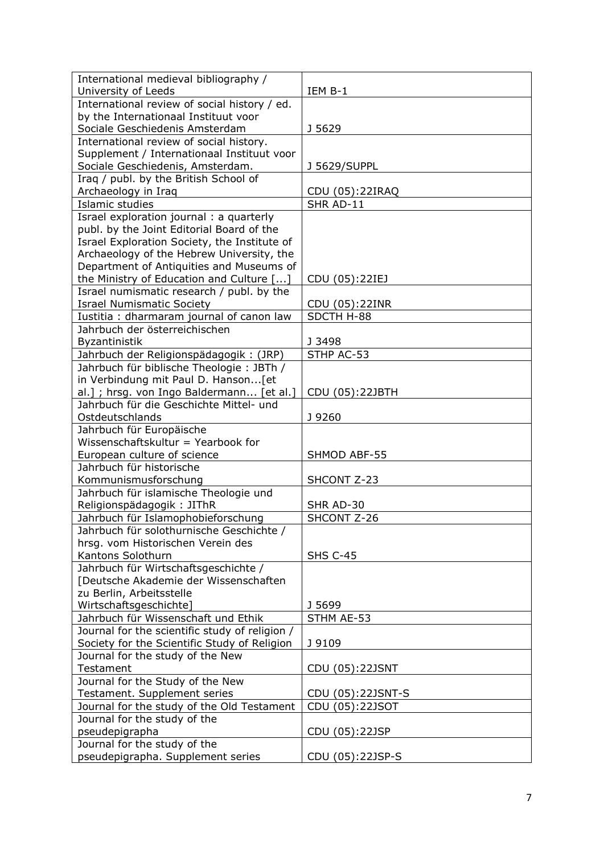| International medieval bibliography /                      |                   |
|------------------------------------------------------------|-------------------|
| University of Leeds                                        | IEM B-1           |
| International review of social history / ed.               |                   |
| by the Internationaal Instituut voor                       |                   |
| Sociale Geschiedenis Amsterdam                             | J 5629            |
| International review of social history.                    |                   |
| Supplement / Internationaal Instituut voor                 |                   |
| Sociale Geschiedenis, Amsterdam.                           | J 5629/SUPPL      |
| Iraq / publ. by the British School of                      |                   |
| Archaeology in Iraq                                        | CDU (05):22IRAQ   |
| Islamic studies                                            | SHR AD-11         |
| Israel exploration journal : a quarterly                   |                   |
| publ. by the Joint Editorial Board of the                  |                   |
| Israel Exploration Society, the Institute of               |                   |
| Archaeology of the Hebrew University, the                  |                   |
| Department of Antiquities and Museums of                   |                   |
| the Ministry of Education and Culture []                   | CDU (05):22IEJ    |
| Israel numismatic research / publ. by the                  |                   |
| <b>Israel Numismatic Society</b>                           | CDU (05):22INR    |
| Iustitia : dharmaram journal of canon law                  | SDCTH H-88        |
| Jahrbuch der österreichischen                              |                   |
| <b>Byzantinistik</b>                                       | J 3498            |
| Jahrbuch der Religionspädagogik: (JRP)                     | STHP AC-53        |
| Jahrbuch für biblische Theologie: JBTh /                   |                   |
| in Verbindung mit Paul D. Hanson[et                        |                   |
| al.]; hrsg. von Ingo Baldermann [et al.]                   | CDU (05):22JBTH   |
| Jahrbuch für die Geschichte Mittel- und<br>Ostdeutschlands | J 9260            |
| Jahrbuch für Europäische                                   |                   |
| Wissenschaftskultur = Yearbook for                         |                   |
| European culture of science                                | SHMOD ABF-55      |
| Jahrbuch für historische                                   |                   |
| Kommunismusforschung                                       | SHCONT Z-23       |
| Jahrbuch für islamische Theologie und                      |                   |
| Religionspädagogik: JIThR                                  | SHR AD-30         |
| Jahrbuch für Islamophobieforschung                         | SHCONT Z-26       |
| Jahrbuch für solothurnische Geschichte /                   |                   |
| hrsg. vom Historischen Verein des                          |                   |
| Kantons Solothurn                                          | <b>SHS C-45</b>   |
| Jahrbuch für Wirtschaftsgeschichte /                       |                   |
| [Deutsche Akademie der Wissenschaften                      |                   |
| zu Berlin, Arbeitsstelle                                   |                   |
| Wirtschaftsgeschichte]                                     | J 5699            |
| Jahrbuch für Wissenschaft und Ethik                        | STHM AE-53        |
| Journal for the scientific study of religion /             |                   |
| Society for the Scientific Study of Religion               | J 9109            |
| Journal for the study of the New                           |                   |
| Testament                                                  | CDU (05):22JSNT   |
| Journal for the Study of the New                           |                   |
| Testament. Supplement series                               | CDU (05):22JSNT-S |
| Journal for the study of the Old Testament                 | CDU (05):22JSOT   |
| Journal for the study of the                               |                   |
| pseudepigrapha<br>Journal for the study of the             | CDU (05):22JSP    |
| pseudepigrapha. Supplement series                          | CDU (05):22JSP-S  |
|                                                            |                   |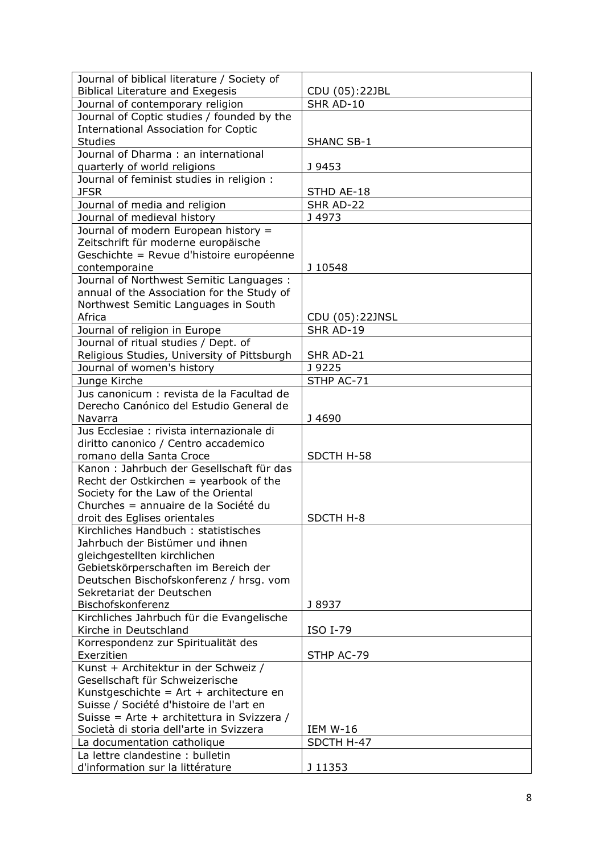| Journal of biblical literature / Society of                          |                   |
|----------------------------------------------------------------------|-------------------|
| <b>Biblical Literature and Exegesis</b>                              | CDU (05):22JBL    |
| Journal of contemporary religion                                     | SHR AD-10         |
| Journal of Coptic studies / founded by the                           |                   |
| <b>International Association for Coptic</b>                          |                   |
| <b>Studies</b>                                                       | <b>SHANC SB-1</b> |
| Journal of Dharma: an international                                  |                   |
| quarterly of world religions                                         | J 9453            |
| Journal of feminist studies in religion :                            |                   |
| <b>JFSR</b>                                                          | STHD AE-18        |
| Journal of media and religion                                        | SHR AD-22         |
| Journal of medieval history                                          | J 4973            |
| Journal of modern European history =                                 |                   |
| Zeitschrift für moderne europäische                                  |                   |
| Geschichte = Revue d'histoire européenne                             |                   |
| contemporaine                                                        | J 10548           |
| Journal of Northwest Semitic Languages :                             |                   |
| annual of the Association for the Study of                           |                   |
| Northwest Semitic Languages in South                                 |                   |
| Africa                                                               | CDU (05):22JNSL   |
| Journal of religion in Europe                                        | SHR AD-19         |
| Journal of ritual studies / Dept. of                                 |                   |
| Religious Studies, University of Pittsburgh                          | SHR AD-21         |
| Journal of women's history                                           | J 9225            |
| Junge Kirche                                                         | STHP AC-71        |
| Jus canonicum : revista de la Facultad de                            |                   |
| Derecho Canónico del Estudio General de                              |                   |
| Navarra                                                              | J4690             |
| Jus Ecclesiae : rivista internazionale di                            |                   |
| diritto canonico / Centro accademico                                 |                   |
| romano della Santa Croce                                             | SDCTH H-58        |
| Kanon: Jahrbuch der Gesellschaft für das                             |                   |
| Recht der Ostkirchen = yearbook of the                               |                   |
| Society for the Law of the Oriental                                  |                   |
| Churches = annuaire de la Société du                                 |                   |
| droit des Eglises orientales                                         | SDCTH H-8         |
| Kirchliches Handbuch: statistisches                                  |                   |
| Jahrbuch der Bistümer und ihnen                                      |                   |
| gleichgestellten kirchlichen                                         |                   |
| Gebietskörperschaften im Bereich der                                 |                   |
| Deutschen Bischofskonferenz / hrsg. vom                              |                   |
| Sekretariat der Deutschen                                            |                   |
| Bischofskonferenz                                                    | J 8937            |
| Kirchliches Jahrbuch für die Evangelische                            |                   |
| Kirche in Deutschland                                                | <b>ISO I-79</b>   |
| Korrespondenz zur Spiritualität des                                  |                   |
| Exerzitien                                                           | STHP AC-79        |
| Kunst + Architektur in der Schweiz /                                 |                   |
| Gesellschaft für Schweizerische                                      |                   |
| Kunstgeschichte = $Art + architecture$ en                            |                   |
| Suisse / Société d'histoire de l'art en                              |                   |
| Suisse = Arte + architettura in Svizzera /                           |                   |
| Società di storia dell'arte in Svizzera                              | <b>IEM W-16</b>   |
|                                                                      |                   |
| La documentation catholique                                          | SDCTH H-47        |
| La lettre clandestine : bulletin<br>d'information sur la littérature | J 11353           |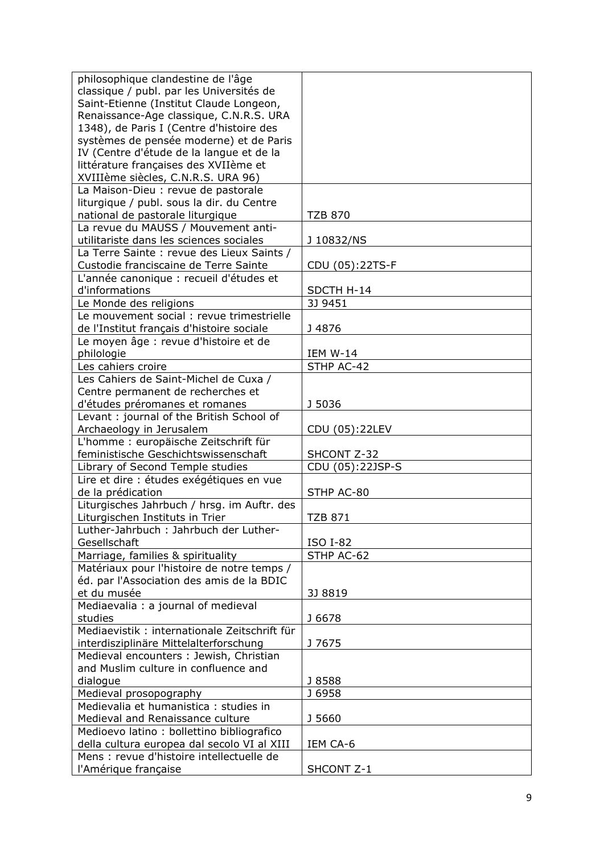| philosophique clandestine de l'âge            |                  |
|-----------------------------------------------|------------------|
| classique / publ. par les Universités de      |                  |
| Saint-Etienne (Institut Claude Longeon,       |                  |
| Renaissance-Age classique, C.N.R.S. URA       |                  |
| 1348), de Paris I (Centre d'histoire des      |                  |
| systèmes de pensée moderne) et de Paris       |                  |
| IV (Centre d'étude de la langue et de la      |                  |
| littérature françaises des XVIIème et         |                  |
| XVIIIème siècles, C.N.R.S. URA 96)            |                  |
| La Maison-Dieu : revue de pastorale           |                  |
| liturgique / publ. sous la dir. du Centre     |                  |
| national de pastorale liturgique              | <b>TZB 870</b>   |
| La revue du MAUSS / Mouvement anti-           |                  |
| utilitariste dans les sciences sociales       | J 10832/NS       |
| La Terre Sainte : revue des Lieux Saints /    |                  |
| Custodie franciscaine de Terre Sainte         | CDU (05):22TS-F  |
| L'année canonique : recueil d'études et       |                  |
| d'informations                                | SDCTH H-14       |
| Le Monde des religions                        | 3J 9451          |
| Le mouvement social : revue trimestrielle     |                  |
| de l'Institut français d'histoire sociale     | J 4876           |
| Le moyen âge : revue d'histoire et de         |                  |
| philologie                                    | IEM W-14         |
| Les cahiers croire                            | STHP AC-42       |
| Les Cahiers de Saint-Michel de Cuxa /         |                  |
| Centre permanent de recherches et             |                  |
| d'études préromanes et romanes                | J 5036           |
| Levant : journal of the British School of     |                  |
| Archaeology in Jerusalem                      | CDU (05):22LEV   |
| L'homme : europäische Zeitschrift für         |                  |
| feministische Geschichtswissenschaft          | SHCONT Z-32      |
| Library of Second Temple studies              | CDU (05):22JSP-S |
| Lire et dire : études exégétiques en vue      |                  |
| de la prédication                             | STHP AC-80       |
| Liturgisches Jahrbuch / hrsg. im Auftr. des   |                  |
| Liturgischen Instituts in Trier               | <b>TZB 871</b>   |
| Luther-Jahrbuch: Jahrbuch der Luther-         |                  |
| Gesellschaft                                  | <b>ISO I-82</b>  |
| Marriage, families & spirituality             | STHP AC-62       |
| Matériaux pour l'histoire de notre temps /    |                  |
| éd. par l'Association des amis de la BDIC     |                  |
| et du musée                                   | 3J 8819          |
| Mediaevalia : a journal of medieval           |                  |
| studies                                       | J 6678           |
| Mediaevistik : internationale Zeitschrift für |                  |
| interdisziplinäre Mittelalterforschung        | J 7675           |
| Medieval encounters : Jewish, Christian       |                  |
| and Muslim culture in confluence and          |                  |
| dialogue                                      | J 8588           |
| Medieval prosopography                        | J 6958           |
| Medievalia et humanistica : studies in        |                  |
| Medieval and Renaissance culture              | J 5660           |
| Medioevo latino: bollettino bibliografico     |                  |
| della cultura europea dal secolo VI al XIII   | IEM CA-6         |
| Mens : revue d'histoire intellectuelle de     |                  |
| l'Amérique française                          | SHCONT Z-1       |
|                                               |                  |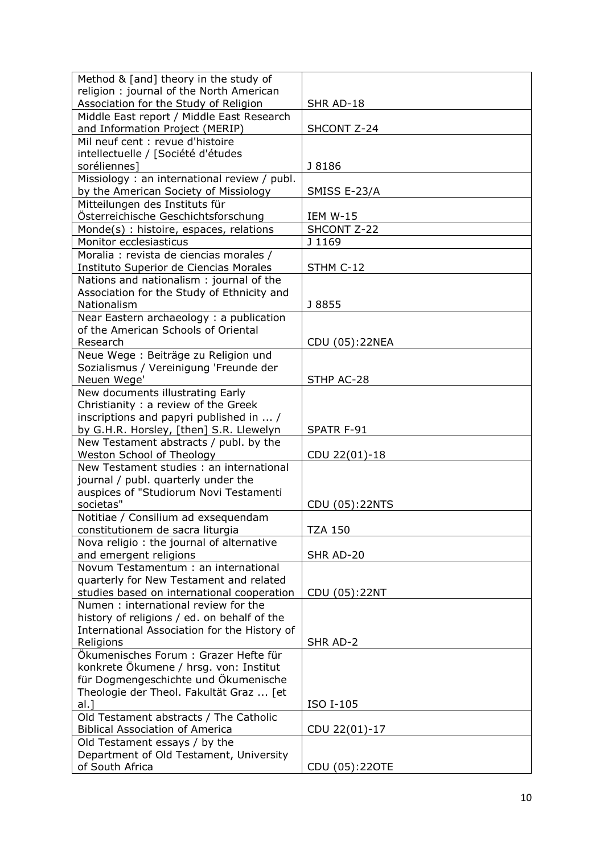| Method & [and] theory in the study of                                                 |                   |
|---------------------------------------------------------------------------------------|-------------------|
| religion: journal of the North American                                               |                   |
| Association for the Study of Religion                                                 | SHR AD-18         |
| Middle East report / Middle East Research<br>and Information Project (MERIP)          | SHCONT Z-24       |
| Mil neuf cent : revue d'histoire                                                      |                   |
| intellectuelle / [Société d'études                                                    |                   |
| soréliennes]                                                                          | J 8186            |
| Missiology: an international review / publ.<br>by the American Society of Missiology  | SMISS E-23/A      |
| Mitteilungen des Instituts für                                                        |                   |
| Österreichische Geschichtsforschung                                                   | <b>IEM W-15</b>   |
| Monde(s): histoire, espaces, relations                                                | SHCONT Z-22       |
| Monitor ecclesiasticus                                                                | J 1169            |
| Moralia : revista de ciencias morales /                                               |                   |
| Instituto Superior de Ciencias Morales                                                | STHM C-12         |
| Nations and nationalism: journal of the<br>Association for the Study of Ethnicity and |                   |
| Nationalism                                                                           | J 8855            |
| Near Eastern archaeology: a publication                                               |                   |
| of the American Schools of Oriental                                                   |                   |
| Research                                                                              | CDU (05):22NEA    |
| Neue Wege : Beiträge zu Religion und                                                  |                   |
| Sozialismus / Vereinigung 'Freunde der<br>Neuen Wege'                                 | STHP AC-28        |
| New documents illustrating Early                                                      |                   |
| Christianity : a review of the Greek                                                  |                   |
| inscriptions and papyri published in  /                                               |                   |
| by G.H.R. Horsley, [then] S.R. Llewelyn                                               | <b>SPATR F-91</b> |
| New Testament abstracts / publ. by the                                                |                   |
| Weston School of Theology                                                             | CDU 22(01)-18     |
| New Testament studies: an international                                               |                   |
| journal / publ. quarterly under the                                                   |                   |
| auspices of "Studiorum Novi Testamenti                                                |                   |
| societas"                                                                             | CDU (05):22NTS    |
| Notitiae / Consilium ad exsequendam<br>constitutionem de sacra liturgia               | TZA 150           |
| Nova religio: the journal of alternative                                              |                   |
| and emergent religions                                                                | SHR AD-20         |
| Novum Testamentum : an international                                                  |                   |
| quarterly for New Testament and related                                               |                   |
| studies based on international cooperation                                            | CDU (05):22NT     |
| Numen: international review for the<br>history of religions / ed. on behalf of the    |                   |
| International Association for the History of                                          |                   |
| Religions                                                                             | SHR AD-2          |
| Ökumenisches Forum: Grazer Hefte für                                                  |                   |
| konkrete Ökumene / hrsg. von: Institut                                                |                   |
| für Dogmengeschichte und Ökumenische                                                  |                   |
| Theologie der Theol. Fakultät Graz  [et                                               |                   |
| $al.$ ]                                                                               | ISO I-105         |
| Old Testament abstracts / The Catholic                                                |                   |
| <b>Biblical Association of America</b>                                                | CDU 22(01)-17     |
| Old Testament essays / by the                                                         |                   |
| Department of Old Testament, University                                               |                   |
| of South Africa                                                                       | CDU (05):220TE    |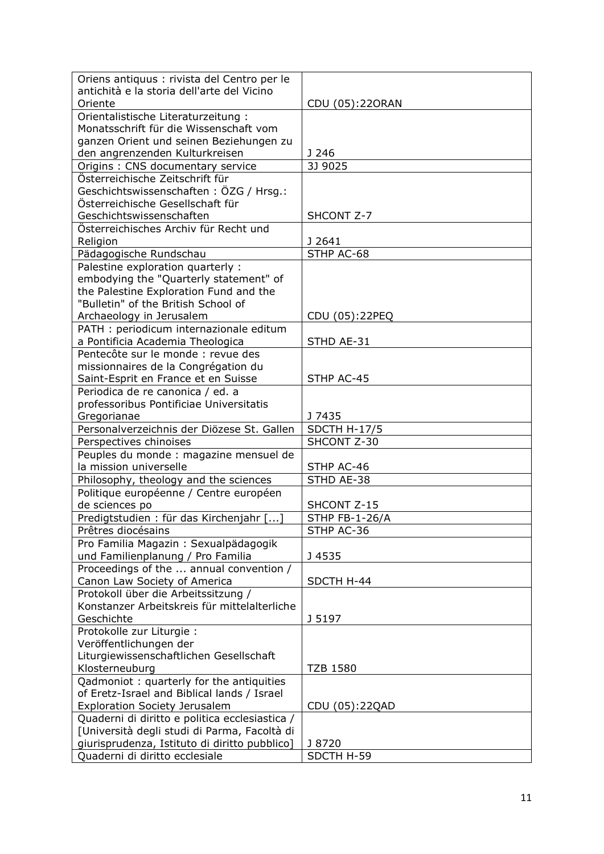| Oriens antiquus : rivista del Centro per le                         |                 |
|---------------------------------------------------------------------|-----------------|
| antichità e la storia dell'arte del Vicino                          |                 |
| Oriente                                                             | CDU (05):22ORAN |
| Orientalistische Literaturzeitung:                                  |                 |
| Monatsschrift für die Wissenschaft vom                              |                 |
| ganzen Orient und seinen Beziehungen zu                             |                 |
| den angrenzenden Kulturkreisen                                      | J 246           |
|                                                                     | 3J 9025         |
| Origins: CNS documentary service<br>Österreichische Zeitschrift für |                 |
|                                                                     |                 |
| Geschichtswissenschaften: ÖZG / Hrsg.:                              |                 |
| Österreichische Gesellschaft für                                    |                 |
| Geschichtswissenschaften                                            | SHCONT Z-7      |
| Österreichisches Archiv für Recht und                               |                 |
| Religion                                                            | J 2641          |
| Pädagogische Rundschau                                              | STHP AC-68      |
| Palestine exploration quarterly :                                   |                 |
| embodying the "Quarterly statement" of                              |                 |
| the Palestine Exploration Fund and the                              |                 |
| "Bulletin" of the British School of                                 |                 |
| Archaeology in Jerusalem                                            | CDU (05):22PEQ  |
| PATH : periodicum internazionale editum                             |                 |
| a Pontificia Academia Theologica                                    | STHD AE-31      |
| Pentecôte sur le monde : revue des                                  |                 |
| missionnaires de la Congrégation du                                 |                 |
| Saint-Esprit en France et en Suisse                                 | STHP AC-45      |
| Periodica de re canonica / ed. a                                    |                 |
| professoribus Pontificiae Universitatis                             |                 |
| Gregorianae                                                         | J 7435          |
| Personalverzeichnis der Diözese St. Gallen                          | SDCTH H-17/5    |
| Perspectives chinoises                                              | SHCONT Z-30     |
| Peuples du monde : magazine mensuel de                              |                 |
| la mission universelle                                              | STHP AC-46      |
| Philosophy, theology and the sciences                               | STHD AE-38      |
| Politique européenne / Centre européen                              |                 |
| de sciences po                                                      | SHCONT Z-15     |
| Predigtstudien : für das Kirchenjahr []                             | STHP FB-1-26/A  |
| Prêtres diocésains                                                  | STHP AC-36      |
| Pro Familia Magazin: Sexualpädagogik                                |                 |
| und Familienplanung / Pro Familia                                   | J 4535          |
| Proceedings of the  annual convention /                             |                 |
| Canon Law Society of America                                        | SDCTH H-44      |
| Protokoll über die Arbeitssitzung /                                 |                 |
| Konstanzer Arbeitskreis für mittelalterliche                        |                 |
| Geschichte                                                          | J 5197          |
| Protokolle zur Liturgie :                                           |                 |
| Veröffentlichungen der                                              |                 |
| Liturgiewissenschaftlichen Gesellschaft                             |                 |
| Klosterneuburg                                                      | <b>TZB 1580</b> |
| Qadmoniot: quarterly for the antiquities                            |                 |
| of Eretz-Israel and Biblical lands / Israel                         |                 |
| <b>Exploration Society Jerusalem</b>                                | CDU (05):22QAD  |
| Quaderni di diritto e politica ecclesiastica /                      |                 |
| [Università degli studi di Parma, Facoltà di                        |                 |
| giurisprudenza, Istituto di diritto pubblico]                       | J 8720          |
| Quaderni di diritto ecclesiale                                      | SDCTH H-59      |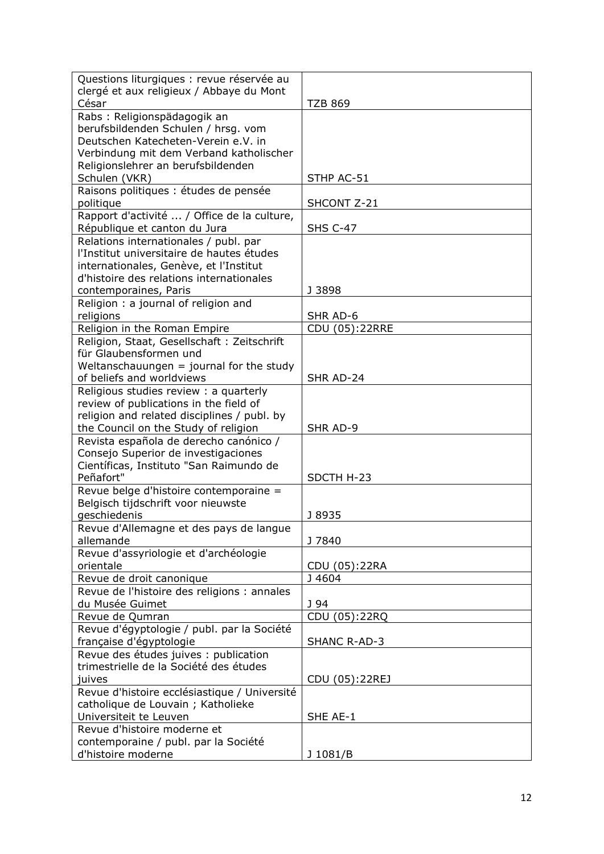| Questions liturgiques : revue réservée au            |                 |
|------------------------------------------------------|-----------------|
| clergé et aux religieux / Abbaye du Mont             |                 |
| César                                                | <b>TZB 869</b>  |
| Rabs: Religionspädagogik an                          |                 |
| berufsbildenden Schulen / hrsg. vom                  |                 |
| Deutschen Katecheten-Verein e.V. in                  |                 |
| Verbindung mit dem Verband katholischer              |                 |
| Religionslehrer an berufsbildenden                   |                 |
| Schulen (VKR)                                        | STHP AC-51      |
| Raisons politiques : études de pensée                |                 |
| politique                                            | SHCONT Z-21     |
| Rapport d'activité  / Office de la culture,          |                 |
| République et canton du Jura                         | <b>SHS C-47</b> |
| Relations internationales / publ. par                |                 |
| l'Institut universitaire de hautes études            |                 |
| internationales, Genève, et l'Institut               |                 |
| d'histoire des relations internationales             |                 |
| contemporaines, Paris                                | J 3898          |
| Religion: a journal of religion and                  |                 |
| religions                                            | SHR AD-6        |
| Religion in the Roman Empire                         | CDU (05):22RRE  |
| Religion, Staat, Gesellschaft: Zeitschrift           |                 |
| für Glaubensformen und                               |                 |
| Weltanschauungen $=$ journal for the study           |                 |
| of beliefs and worldviews                            | SHR AD-24       |
| Religious studies review : a quarterly               |                 |
| review of publications in the field of               |                 |
| religion and related disciplines / publ. by          |                 |
| the Council on the Study of religion                 | SHR AD-9        |
| Revista española de derecho canónico /               |                 |
| Consejo Superior de investigaciones                  |                 |
| Científicas, Instituto "San Raimundo de<br>Peñafort" |                 |
| Revue belge d'histoire contemporaine =               | SDCTH H-23      |
| Belgisch tijdschrift voor nieuwste                   |                 |
| geschiedenis                                         | J 8935          |
| Revue d'Allemagne et des pays de langue              |                 |
| allemande                                            | J 7840          |
| Revue d'assyriologie et d'archéologie                |                 |
| orientale                                            | CDU (05):22RA   |
| Revue de droit canonique                             | J 4604          |
| Revue de l'histoire des religions : annales          |                 |
| du Musée Guimet                                      | J 94            |
| Revue de Qumran                                      | CDU (05):22RQ   |
| Revue d'égyptologie / publ. par la Société           |                 |
| française d'égyptologie                              | SHANC R-AD-3    |
| Revue des études juives : publication                |                 |
| trimestrielle de la Société des études               |                 |
| juives                                               | CDU (05):22REJ  |
| Revue d'histoire ecclésiastique / Université         |                 |
| catholique de Louvain ; Katholieke                   |                 |
| Universiteit te Leuven                               | SHE AE-1        |
| Revue d'histoire moderne et                          |                 |
| contemporaine / publ. par la Société                 |                 |
| d'histoire moderne                                   | J 1081/B        |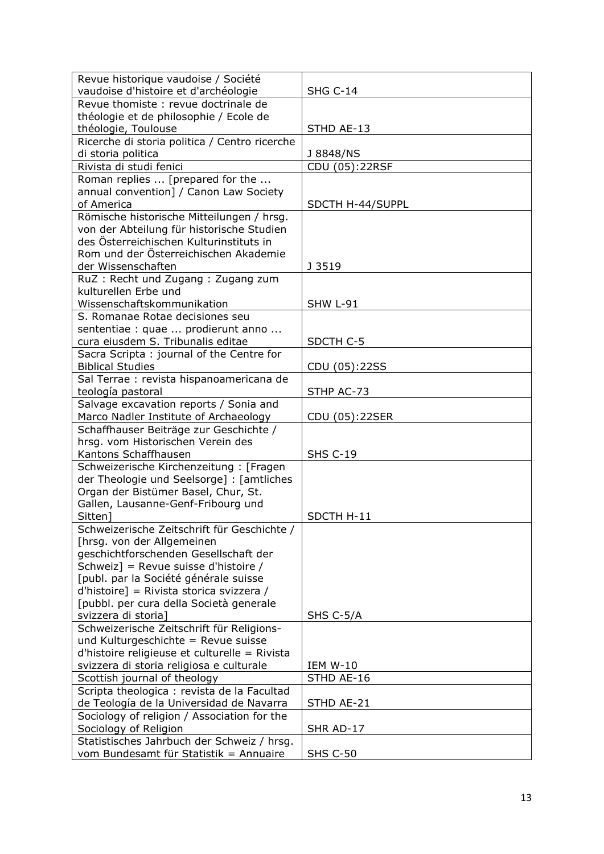| Revue historique vaudoise / Société                                                     |                  |
|-----------------------------------------------------------------------------------------|------------------|
| vaudoise d'histoire et d'archéologie                                                    | <b>SHG C-14</b>  |
| Revue thomiste: revue doctrinale de                                                     |                  |
| théologie et de philosophie / Ecole de                                                  |                  |
| théologie, Toulouse                                                                     | STHD AE-13       |
| Ricerche di storia politica / Centro ricerche                                           |                  |
| di storia politica                                                                      | J 8848/NS        |
| Rivista di studi fenici                                                                 | CDU (05):22RSF   |
| Roman replies  [prepared for the                                                        |                  |
| annual convention] / Canon Law Society                                                  |                  |
| of America                                                                              | SDCTH H-44/SUPPL |
| Römische historische Mitteilungen / hrsg.                                               |                  |
| von der Abteilung für historische Studien                                               |                  |
| des Österreichischen Kulturinstituts in                                                 |                  |
| Rom und der Österreichischen Akademie                                                   |                  |
| der Wissenschaften                                                                      | J 3519           |
| RuZ: Recht und Zugang: Zugang zum                                                       |                  |
| kulturellen Erbe und                                                                    |                  |
| Wissenschaftskommunikation                                                              | <b>SHW L-91</b>  |
| S. Romanae Rotae decisiones seu                                                         |                  |
| sententiae : quae  prodierunt anno                                                      |                  |
| cura eiusdem S. Tribunalis editae                                                       | SDCTH C-5        |
| Sacra Scripta: journal of the Centre for                                                |                  |
| <b>Biblical Studies</b>                                                                 | CDU (05):22SS    |
| Sal Terrae : revista hispanoamericana de<br>teología pastoral                           | STHP AC-73       |
| Salvage excavation reports / Sonia and                                                  |                  |
| Marco Nadler Institute of Archaeology                                                   | CDU (05):22SER   |
| Schaffhauser Beiträge zur Geschichte /                                                  |                  |
| hrsg. vom Historischen Verein des                                                       |                  |
| Kantons Schaffhausen                                                                    | <b>SHS C-19</b>  |
| Schweizerische Kirchenzeitung: [Fragen                                                  |                  |
| der Theologie und Seelsorge] : [amtliches                                               |                  |
| Organ der Bistümer Basel, Chur, St.                                                     |                  |
| Gallen, Lausanne-Genf-Fribourg und                                                      |                  |
| Sitten]                                                                                 | SDCTH H-11       |
| Schweizerische Zeitschrift für Geschichte /                                             |                  |
| [hrsg. von der Allgemeinen                                                              |                  |
| geschichtforschenden Gesellschaft der                                                   |                  |
| Schweiz] = Revue suisse d'histoire /                                                    |                  |
| [publ. par la Société générale suisse                                                   |                  |
| d'histoire] = Rivista storica svizzera /                                                |                  |
| [pubbl. per cura della Società generale                                                 |                  |
| svizzera di storia]                                                                     | SHS C-5/A        |
| Schweizerische Zeitschrift für Religions-                                               |                  |
| und Kulturgeschichte = Revue suisse                                                     |                  |
| d'histoire religieuse et culturelle = Rivista                                           |                  |
| svizzera di storia religiosa e culturale                                                | <b>IEM W-10</b>  |
| Scottish journal of theology                                                            | STHD AE-16       |
| Scripta theologica : revista de la Facultad<br>de Teología de la Universidad de Navarra | STHD AE-21       |
| Sociology of religion / Association for the                                             |                  |
| Sociology of Religion                                                                   | SHR AD-17        |
| Statistisches Jahrbuch der Schweiz / hrsg.                                              |                  |
| vom Bundesamt für Statistik = Annuaire                                                  | <b>SHS C-50</b>  |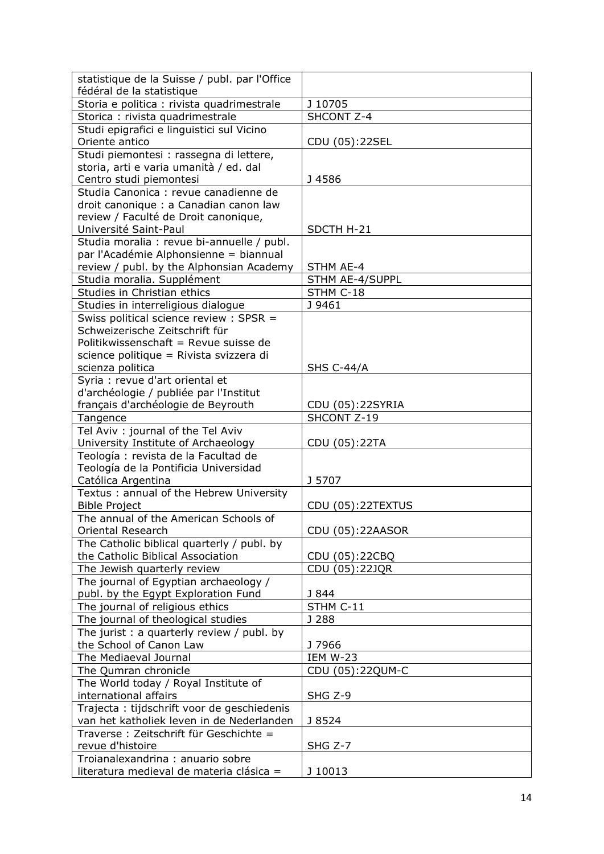| statistique de la Suisse / publ. par l'Office                                 |                   |
|-------------------------------------------------------------------------------|-------------------|
| fédéral de la statistique                                                     |                   |
| Storia e politica : rivista quadrimestrale                                    | J 10705           |
| Storica : rivista quadrimestrale                                              | SHCONT Z-4        |
| Studi epigrafici e linguistici sul Vicino                                     |                   |
| Oriente antico                                                                | CDU (05):22SEL    |
| Studi piemontesi : rassegna di lettere,                                       |                   |
| storia, arti e varia umanità / ed. dal                                        |                   |
| Centro studi piemontesi                                                       | J 4586            |
| Studia Canonica : revue canadienne de                                         |                   |
| droit canonique : a Canadian canon law                                        |                   |
| review / Faculté de Droit canonique,                                          |                   |
| Université Saint-Paul                                                         | SDCTH H-21        |
| Studia moralia : revue bi-annuelle / publ.                                    |                   |
| par l'Académie Alphonsienne = biannual                                        |                   |
| review / publ. by the Alphonsian Academy                                      | STHM AE-4         |
| Studia moralia. Supplément                                                    | STHM AE-4/SUPPL   |
| Studies in Christian ethics                                                   | STHM C-18         |
| Studies in interreligious dialogue                                            | J 9461            |
| Swiss political science review : SPSR =                                       |                   |
| Schweizerische Zeitschrift für                                                |                   |
| Politikwissenschaft = Revue suisse de                                         |                   |
| science politique = Rivista svizzera di                                       |                   |
| scienza politica                                                              | <b>SHS C-44/A</b> |
| Syria : revue d'art oriental et                                               |                   |
| d'archéologie / publiée par l'Institut                                        |                   |
| français d'archéologie de Beyrouth                                            | CDU (05):22SYRIA  |
| Tangence                                                                      | SHCONT Z-19       |
|                                                                               |                   |
|                                                                               |                   |
| Tel Aviv : journal of the Tel Aviv                                            |                   |
| University Institute of Archaeology                                           | CDU (05):22TA     |
| Teología: revista de la Facultad de                                           |                   |
| Teología de la Pontificia Universidad                                         |                   |
| Católica Argentina                                                            | J 5707            |
| Textus: annual of the Hebrew University                                       |                   |
| <b>Bible Project</b>                                                          | CDU (05):22TEXTUS |
| The annual of the American Schools of                                         |                   |
| Oriental Research                                                             | CDU (05):22AASOR  |
| The Catholic biblical quarterly / publ. by                                    |                   |
| the Catholic Biblical Association                                             | CDU (05):22CBQ    |
| The Jewish quarterly review                                                   | CDU (05):22JQR    |
| The journal of Egyptian archaeology /                                         |                   |
| publ. by the Egypt Exploration Fund                                           | J 844             |
| The journal of religious ethics                                               | STHM C-11         |
| The journal of theological studies                                            | J 288             |
| The jurist : a quarterly review / publ. by                                    |                   |
| the School of Canon Law                                                       | J 7966            |
| The Mediaeval Journal                                                         | <b>IEM W-23</b>   |
| The Qumran chronicle                                                          | CDU (05):22QUM-C  |
| The World today / Royal Institute of                                          |                   |
| international affairs                                                         | SHG Z-9           |
| Trajecta : tijdschrift voor de geschiedenis                                   |                   |
| van het katholiek leven in de Nederlanden                                     | J 8524            |
| Traverse : Zeitschrift für Geschichte =                                       |                   |
| revue d'histoire                                                              | SHG Z-7           |
| Troianalexandrina : anuario sobre<br>literatura medieval de materia clásica = | J 10013           |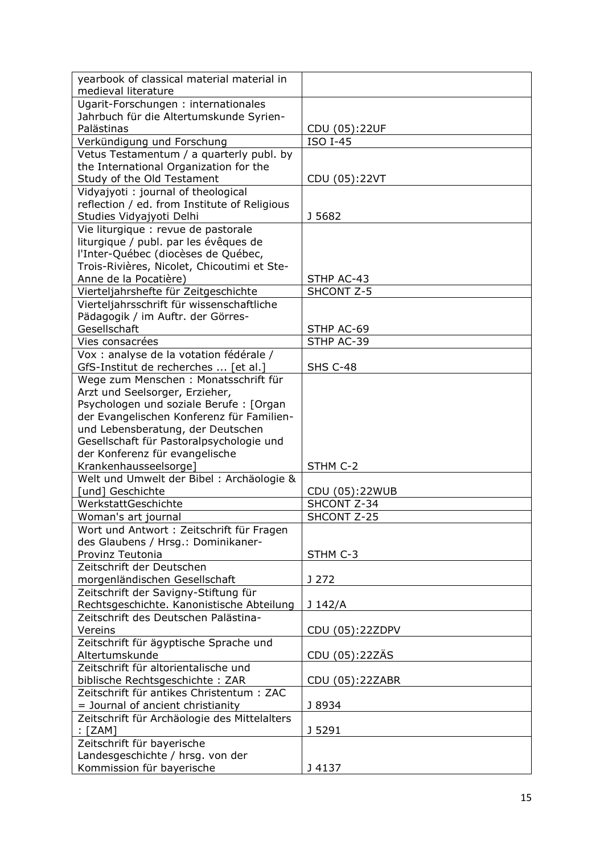| yearbook of classical material material in                                     |                 |
|--------------------------------------------------------------------------------|-----------------|
| medieval literature                                                            |                 |
| Ugarit-Forschungen: internationales                                            |                 |
| Jahrbuch für die Altertumskunde Syrien-                                        |                 |
| Palästinas                                                                     | CDU (05):22UF   |
| Verkündigung und Forschung                                                     | <b>ISO I-45</b> |
| Vetus Testamentum / a quarterly publ. by                                       |                 |
| the International Organization for the                                         |                 |
| Study of the Old Testament                                                     | CDU (05):22VT   |
| Vidyajyoti: journal of theological                                             |                 |
| reflection / ed. from Institute of Religious                                   |                 |
| Studies Vidyajyoti Delhi                                                       | J 5682          |
| Vie liturgique : revue de pastorale                                            |                 |
| liturgique / publ. par les évêques de                                          |                 |
| l'Inter-Québec (diocèses de Québec,                                            |                 |
| Trois-Rivières, Nicolet, Chicoutimi et Ste-                                    |                 |
| Anne de la Pocatière)                                                          | STHP AC-43      |
| Vierteljahrshefte für Zeitgeschichte                                           | SHCONT Z-5      |
| Vierteljahrsschrift für wissenschaftliche                                      |                 |
| Pädagogik / im Auftr. der Görres-                                              |                 |
| Gesellschaft                                                                   | STHP AC-69      |
| Vies consacrées                                                                | STHP AC-39      |
| Vox : analyse de la votation fédérale /                                        |                 |
| GfS-Institut de recherches  [et al.]                                           | <b>SHS C-48</b> |
| Wege zum Menschen : Monatsschrift für                                          |                 |
| Arzt und Seelsorger, Erzieher,                                                 |                 |
| Psychologen und soziale Berufe : [Organ                                        |                 |
| der Evangelischen Konferenz für Familien-<br>und Lebensberatung, der Deutschen |                 |
| Gesellschaft für Pastoralpsychologie und                                       |                 |
| der Konferenz für evangelische                                                 |                 |
| Krankenhausseelsorge]                                                          | STHM C-2        |
| Welt und Umwelt der Bibel : Archäologie &                                      |                 |
| [und] Geschichte                                                               | CDU (05):22WUB  |
| WerkstattGeschichte                                                            | SHCONT Z-34     |
| Woman's art journal                                                            | SHCONT Z-25     |
| Wort und Antwort: Zeitschrift für Fragen                                       |                 |
| des Glaubens / Hrsg.: Dominikaner-                                             |                 |
| Provinz Teutonia                                                               | STHM C-3        |
| Zeitschrift der Deutschen                                                      |                 |
| morgenländischen Gesellschaft                                                  | J 272           |
| Zeitschrift der Savigny-Stiftung für                                           |                 |
| Rechtsgeschichte. Kanonistische Abteilung                                      | J 142/A         |
| Zeitschrift des Deutschen Palästina-                                           |                 |
| Vereins                                                                        | CDU (05):22ZDPV |
| Zeitschrift für ägyptische Sprache und                                         |                 |
| Altertumskunde                                                                 | CDU (05):22ZÄS  |
| Zeitschrift für altorientalische und                                           |                 |
| biblische Rechtsgeschichte: ZAR                                                | CDU (05):22ZABR |
| Zeitschrift für antikes Christentum: ZAC                                       |                 |
| = Journal of ancient christianity                                              | J 8934          |
| Zeitschrift für Archäologie des Mittelalters                                   |                 |
| $:$ [ZAM]                                                                      | J 5291          |
|                                                                                |                 |
| Zeitschrift für bayerische                                                     |                 |
| Landesgeschichte / hrsg. von der<br>Kommission für bayerische                  | J 4137          |